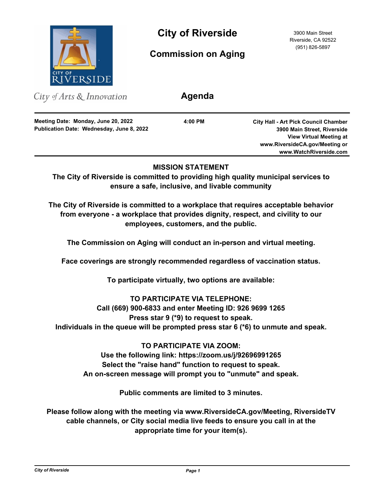

**City of Riverside** 3900 Main Street

**Commission on Aging**

Riverside, CA 92522 (951) 826-5897

City of Arts & Innovation

**Publication Date: Wednesday, June 8, 2022 Meeting Date: Monday, June 20, 2022**

**4:00 PM**

**Agenda**

**City Hall - Art Pick Council Chamber 3900 Main Street, Riverside View Virtual Meeting at www.RiversideCA.gov/Meeting or www.WatchRiverside.com**

# **MISSION STATEMENT**

**The City of Riverside is committed to providing high quality municipal services to ensure a safe, inclusive, and livable community**

**The City of Riverside is committed to a workplace that requires acceptable behavior from everyone - a workplace that provides dignity, respect, and civility to our employees, customers, and the public.**

**The Commission on Aging will conduct an in-person and virtual meeting.**

**Face coverings are strongly recommended regardless of vaccination status.**

**To participate virtually, two options are available:** 

**TO PARTICIPATE VIA TELEPHONE:** 

**Call (669) 900-6833 and enter Meeting ID: 926 9699 1265** 

**Press star 9 (\*9) to request to speak.** 

**Individuals in the queue will be prompted press star 6 (\*6) to unmute and speak.**

**TO PARTICIPATE VIA ZOOM: Use the following link: https://zoom.us/j/92696991265 Select the "raise hand" function to request to speak. An on-screen message will prompt you to "unmute" and speak.**

**Public comments are limited to 3 minutes.**

**Please follow along with the meeting via www.RiversideCA.gov/Meeting, RiversideTV cable channels, or City social media live feeds to ensure you call in at the appropriate time for your item(s).**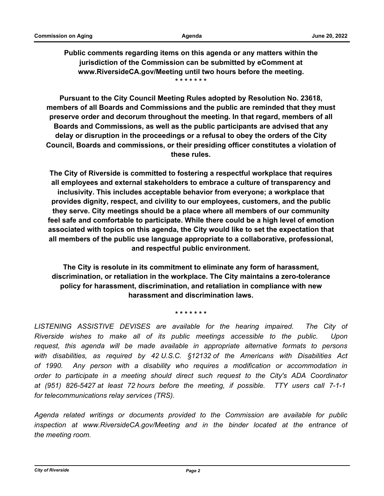**Public comments regarding items on this agenda or any matters within the jurisdiction of the Commission can be submitted by eComment at www.RiversideCA.gov/Meeting until two hours before the meeting. \* \* \* \* \* \* \***

**Pursuant to the City Council Meeting Rules adopted by Resolution No. 23618, members of all Boards and Commissions and the public are reminded that they must preserve order and decorum throughout the meeting. In that regard, members of all Boards and Commissions, as well as the public participants are advised that any delay or disruption in the proceedings or a refusal to obey the orders of the City Council, Boards and commissions, or their presiding officer constitutes a violation of these rules.**

**The City of Riverside is committed to fostering a respectful workplace that requires all employees and external stakeholders to embrace a culture of transparency and inclusivity. This includes acceptable behavior from everyone; a workplace that provides dignity, respect, and civility to our employees, customers, and the public they serve. City meetings should be a place where all members of our community feel safe and comfortable to participate. While there could be a high level of emotion associated with topics on this agenda, the City would like to set the expectation that all members of the public use language appropriate to a collaborative, professional, and respectful public environment.**

**The City is resolute in its commitment to eliminate any form of harassment, discrimination, or retaliation in the workplace. The City maintains a zero-tolerance policy for harassment, discrimination, and retaliation in compliance with new harassment and discrimination laws.**

**\* \* \* \* \* \* \***

LISTENING ASSISTIVE DEVISES are available for the hearing impaired. The City of *Riverside wishes to make all of its public meetings accessible to the public. Upon request, this agenda will be made available in appropriate alternative formats to persons with disabilities, as required by 42 U.S.C. §12132 of the Americans with Disabilities Act of 1990. Any person with a disability who requires a modification or accommodation in order to participate in a meeting should direct such request to the City's ADA Coordinator at (951) 826-5427 at least 72 hours before the meeting, if possible. TTY users call 7-1-1 for telecommunications relay services (TRS).*

*Agenda related writings or documents provided to the Commission are available for public inspection at www.RiversideCA.gov/Meeting and in the binder located at the entrance of the meeting room.*

*City of Riverside Page 2*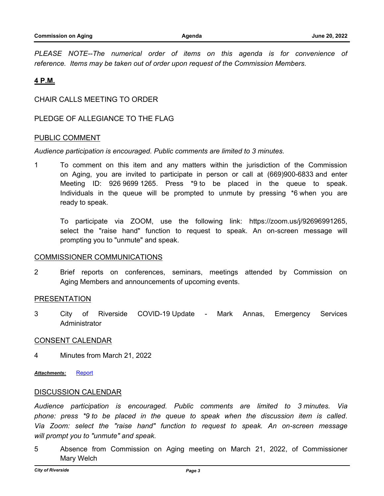*PLEASE NOTE--The numerical order of items on this agenda is for convenience of reference. Items may be taken out of order upon request of the Commission Members.*

# **4 P.M.**

CHAIR CALLS MEETING TO ORDER

PLEDGE OF ALLEGIANCE TO THE FLAG

## PUBLIC COMMENT

*Audience participation is encouraged. Public comments are limited to 3 minutes.*

1 To comment on this item and any matters within the jurisdiction of the Commission on Aging, you are invited to participate in person or call at (669)900-6833 and enter Meeting ID: 926 9699 1265. Press \*9 to be placed in the queue to speak. Individuals in the queue will be prompted to unmute by pressing \*6 when you are ready to speak.

To participate via ZOOM, use the following link: https://zoom.us/j/92696991265, select the "raise hand" function to request to speak. An on-screen message will prompting you to "unmute" and speak.

### COMMISSIONER COMMUNICATIONS

2 Brief reports on conferences, seminars, meetings attended by Commission on Aging Members and announcements of upcoming events.

# PRESENTATION

3 City of Riverside COVID-19 Update - Mark Annas, Emergency Services Administrator

## CONSENT CALENDAR

4 Minutes from March 21, 2022

*Attachments:* [Report](http://riversideca.legistar.com/gateway.aspx?M=F&ID=7f48830c-4555-4726-a3ea-16d52fcb345d.docx)

### DISCUSSION CALENDAR

*Audience participation is encouraged. Public comments are limited to 3 minutes. Via phone: press \*9 to be placed in the queue to speak when the discussion item is called. Via Zoom: select the "raise hand" function to request to speak. An on-screen message will prompt you to "unmute" and speak.*

5 Absence from Commission on Aging meeting on March 21, 2022, of Commissioner Mary Welch